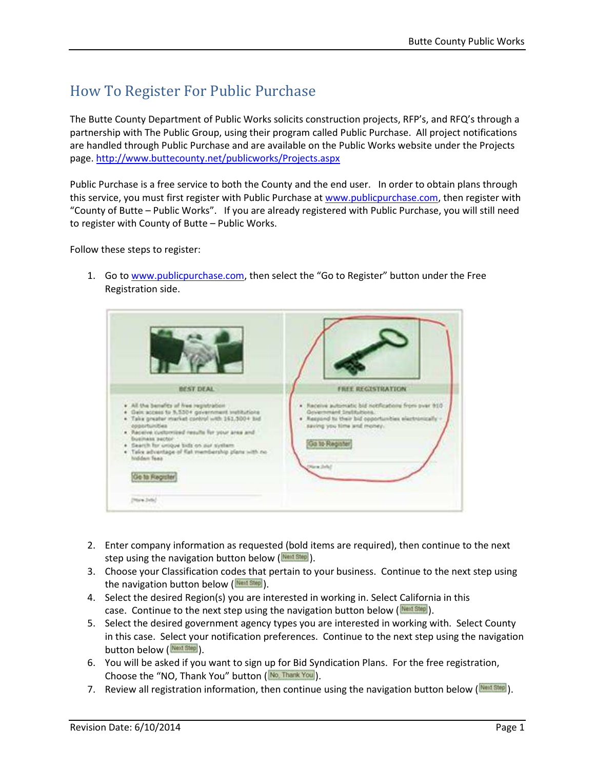## How To Register For Public Purchase

The Butte County Department of Public Works solicits construction projects, RFP's, and RFQ's through a partnership with The Public Group, using their program called Public Purchase. All project notifications are handled through Public Purchase and are available on the Public Works website under the Projects page. http://www.buttecounty.net/publicworks/Projects.aspx

Public Purchase is a free service to both the County and the end user. In order to obtain plans through this service, you must first register with Public Purchase at www.publicpurchase.com, then register with "County of Butte – Public Works". If you are already registered with Public Purchase, you will still need to register with County of Butte – Public Works.

Follow these steps to register:



1. Go to www.publicpurchase.com, then select the "Go to Register" button under the Free Registration side.

- 2. Enter company information as requested (bold items are required), then continue to the next step using the navigation button below  $($ <sup>Next Step</sup> $).$
- 3. Choose your Classification codes that pertain to your business. Continue to the next step using the navigation button below  $(\frac{N\text{ecl}}{N\text{ecl}})$ .
- 4. Select the desired Region(s) you are interested in working in. Select California in this case. Continue to the next step using the navigation button below  $(\frac{N\text{cost}}{2})$ .
- 5. Select the desired government agency types you are interested in working with. Select County in this case. Select your notification preferences. Continue to the next step using the navigation button below (Next Step).
- 6. You will be asked if you want to sign up for Bid Syndication Plans. For the free registration, Choose the "NO, Thank You" button ( $\frac{N_0$ , Thank You).
- 7. Review all registration information, then continue using the navigation button below ( $\frac{(\text{New Step})}{(\text{New Step})}$ ).